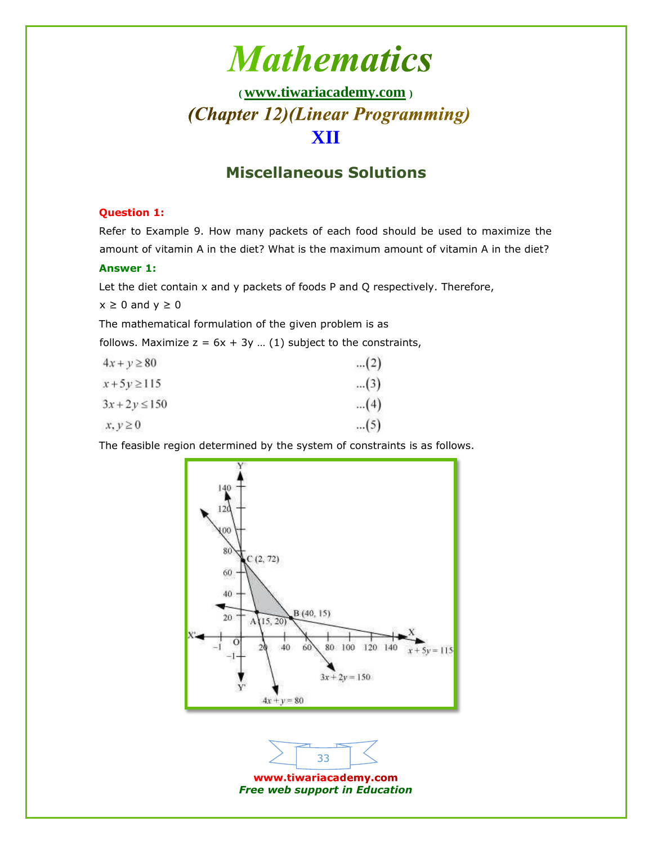## **( [www.tiwariacademy.com](http://www.tiwariacademy.com/) )** (Chapter 12)(Linear Programming) **XII**

### **Miscellaneous Solutions**

#### **Question 1:**

Refer to Example 9. How many packets of each food should be used to maximize the amount of vitamin A in the diet? What is the maximum amount of vitamin A in the diet?

#### **Answer 1:**

Let the diet contain x and y packets of foods P and Q respectively. Therefore,

 $x \geq 0$  and  $y \geq 0$ 

The mathematical formulation of the given problem is as

follows. Maximize  $z = 6x + 3y$  ... (1) subject to the constraints,

| $4x + y \ge 80$   | (2)   |
|-------------------|-------|
| $x + 5y \ge 115$  | $(3)$ |
| $3x + 2y \le 150$ | (4)   |
| $x, y \geq 0$     | (5)   |

The feasible region determined by the system of constraints is as follows.

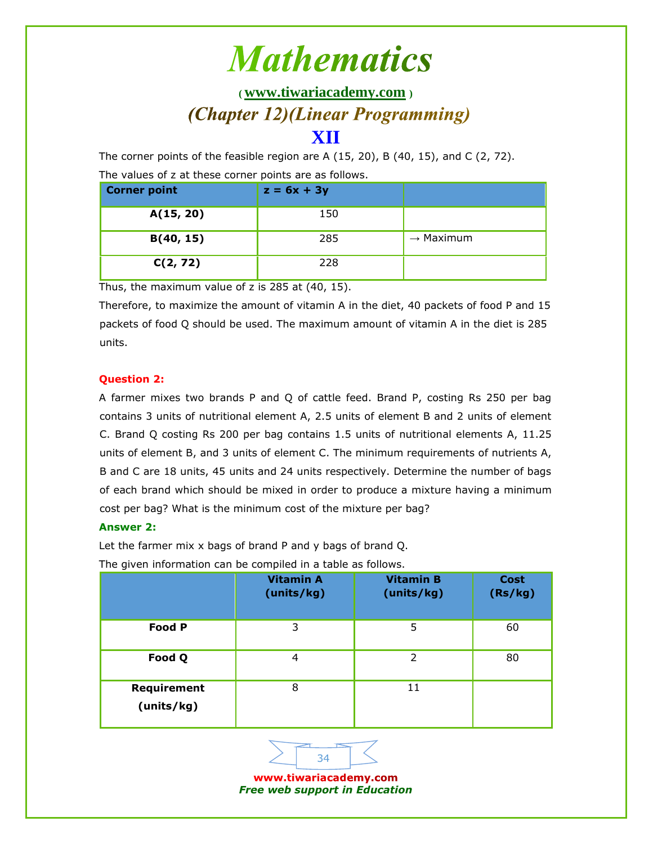**( [www.tiwariacademy.com](http://www.tiwariacademy.com/) )** (Chapter 12)(Linear Programming)

### **XII**

The corner points of the feasible region are A  $(15, 20)$ , B  $(40, 15)$ , and C  $(2, 72)$ .

The values of z at these corner points are as follows.

| <b>Corner point</b> | $z = 6x + 3y$ |                       |
|---------------------|---------------|-----------------------|
| A(15, 20)           | 150           |                       |
| B(40, 15)           | 285           | $\rightarrow$ Maximum |
| C(2, 72)            | 228           |                       |

Thus, the maximum value of z is 285 at (40, 15).

Therefore, to maximize the amount of vitamin A in the diet, 40 packets of food P and 15 packets of food Q should be used. The maximum amount of vitamin A in the diet is 285 units.

#### **Question 2:**

A farmer mixes two brands P and Q of cattle feed. Brand P, costing Rs 250 per bag contains 3 units of nutritional element A, 2.5 units of element B and 2 units of element C. Brand Q costing Rs 200 per bag contains 1.5 units of nutritional elements A, 11.25 units of element B, and 3 units of element C. The minimum requirements of nutrients A, B and C are 18 units, 45 units and 24 units respectively. Determine the number of bags of each brand which should be mixed in order to produce a mixture having a minimum cost per bag? What is the minimum cost of the mixture per bag?

### **Answer 2:**

Let the farmer mix x bags of brand P and y bags of brand Q.

The given information can be compiled in a table as follows.

|                           | <b>Vitamin A</b><br>(units/kg) | <b>Vitamin B</b><br>(units/kg) | <b>Cost</b><br>(Rs/kg) |
|---------------------------|--------------------------------|--------------------------------|------------------------|
| <b>Food P</b>             | 3                              | 5                              | 60                     |
| Food Q                    | 4                              | $\mathcal{P}$                  | 80                     |
| Requirement<br>(units/kg) | 8                              | 11                             |                        |

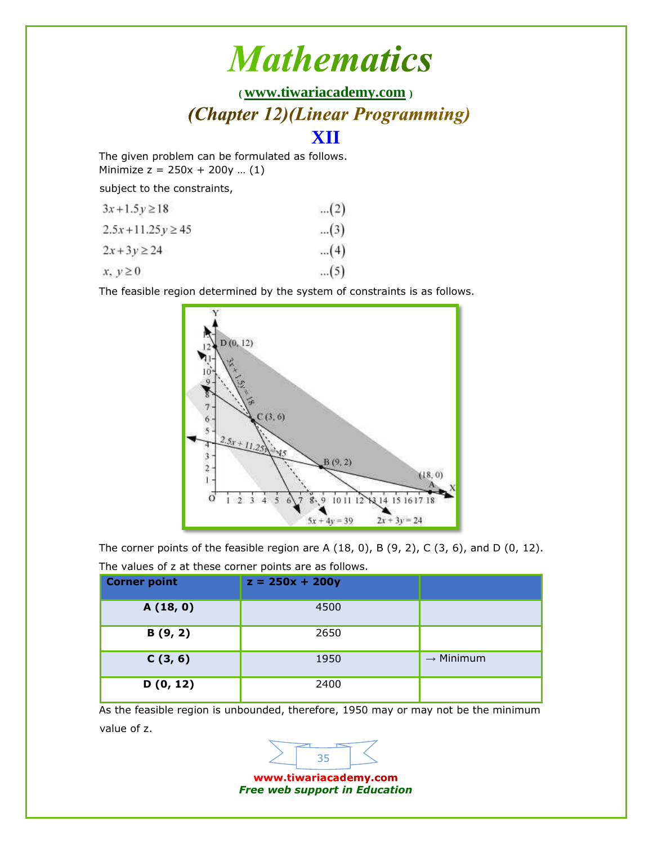**( [www.tiwariacademy.com](http://www.tiwariacademy.com/) )** (Chapter 12)(Linear Programming)

### **XII**

The given problem can be formulated as follows. Minimize  $z = 250x + 200y$  ... (1)

subject to the constraints,

| $3x+1.5y \ge 18$     | (2)   |
|----------------------|-------|
| $2.5x+11.25y \ge 45$ | $(3)$ |
| $2x+3y \ge 24$       | (4)   |
| $x, y \geq 0$        | $(5)$ |

The feasible region determined by the system of constraints is as follows.



The corner points of the feasible region are A  $(18, 0)$ , B  $(9, 2)$ , C  $(3, 6)$ , and D  $(0, 12)$ .

| <b>Corner point</b> | $z = 250x + 200y$ |                       |
|---------------------|-------------------|-----------------------|
| A(18, 0)            | 4500              |                       |
| B(9, 2)             | 2650              |                       |
| C(3, 6)             | 1950              | $\rightarrow$ Minimum |
| D(0, 12)            | 2400              |                       |

The values of z at these corner points are as follows.

As the feasible region is unbounded, therefore, 1950 may or may not be the minimum value of z.

> www.tiwariacademy.com *Free web support in Education*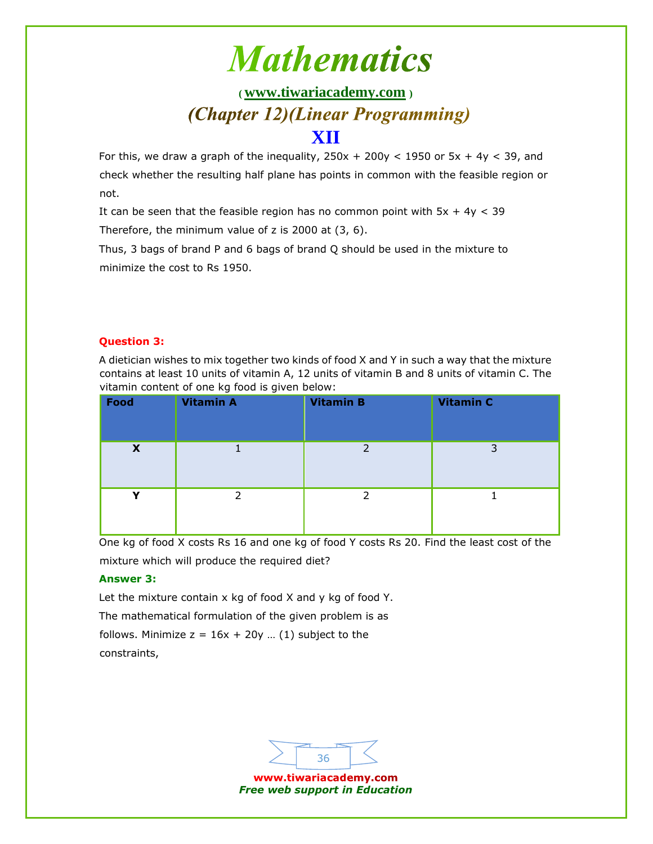## **( [www.tiwariacademy.com](http://www.tiwariacademy.com/) )** (Chapter 12)(Linear Programming)

### **XII**

For this, we draw a graph of the inequality,  $250x + 200y < 1950$  or  $5x + 4y < 39$ , and check whether the resulting half plane has points in common with the feasible region or not.

It can be seen that the feasible region has no common point with  $5x + 4y < 39$ Therefore, the minimum value of z is 2000 at (3, 6).

Thus, 3 bags of brand P and 6 bags of brand Q should be used in the mixture to minimize the cost to Rs 1950.

### **Question 3:**

A dietician wishes to mix together two kinds of food X and Y in such a way that the mixture contains at least 10 units of vitamin A, 12 units of vitamin B and 8 units of vitamin C. The vitamin content of one kg food is given below:

| Food        | <b>Vitamin A</b> | <b>Vitamin B</b> | <b>Vitamin C</b> |
|-------------|------------------|------------------|------------------|
| X           |                  | フ                | 3                |
| $\mathbf v$ | ∍                | っ                |                  |

One kg of food X costs Rs 16 and one kg of food Y costs Rs 20. Find the least cost of the mixture which will produce the required diet?

### **Answer 3:**

Let the mixture contain x kg of food X and y kg of food Y. The mathematical formulation of the given problem is as follows. Minimize  $z = 16x + 20y$  ... (1) subject to the constraints,

> www.tiwariacademy.com *Free web support in Education*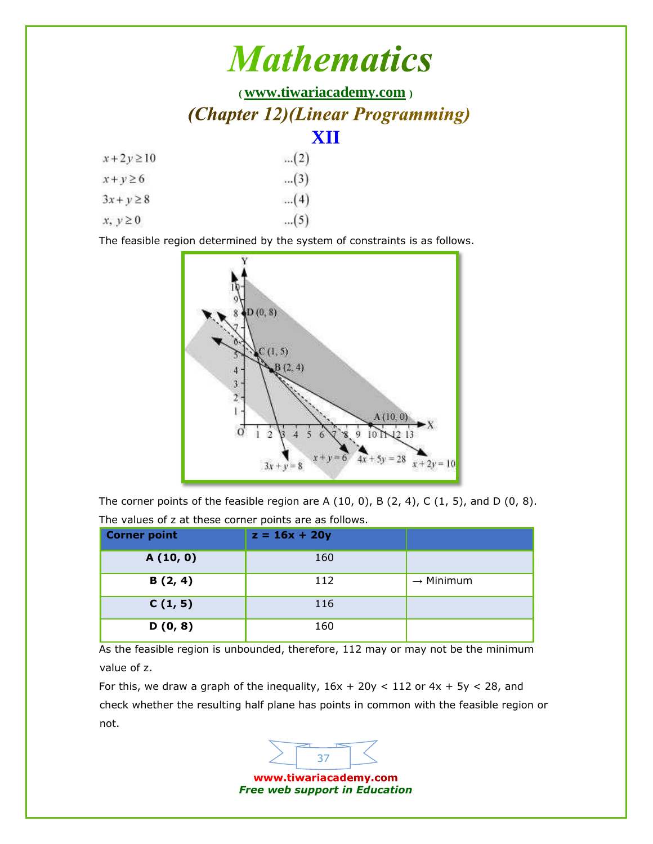|                | <b>Mathematics</b>               |  |
|----------------|----------------------------------|--|
|                | (www.tiwariacademy.com)          |  |
|                | (Chapter 12)(Linear Programming) |  |
|                | XII                              |  |
| $x+2y\geq 10$  | (2)                              |  |
| $x + y \ge 6$  | $(3)$                            |  |
| $3x + y \ge 8$ | (4)                              |  |
| $x, y \ge 0$   | (5)                              |  |

The feasible region determined by the system of constraints is as follows.



The corner points of the feasible region are A  $(10, 0)$ , B  $(2, 4)$ , C  $(1, 5)$ , and D  $(0, 8)$ . The values of z at these corner points are as follows.

| <b>Corner point</b> | $z = 16x + 20y$ |                       |
|---------------------|-----------------|-----------------------|
| A(10, 0)            | 160             |                       |
| B(2, 4)             | 112             | $\rightarrow$ Minimum |
| C(1, 5)             | 116             |                       |
| D(0, 8)             | 160             |                       |

As the feasible region is unbounded, therefore, 112 may or may not be the minimum value of z.

For this, we draw a graph of the inequality,  $16x + 20y < 112$  or  $4x + 5y < 28$ , and check whether the resulting half plane has points in common with the feasible region or not.



*Free web support in Education*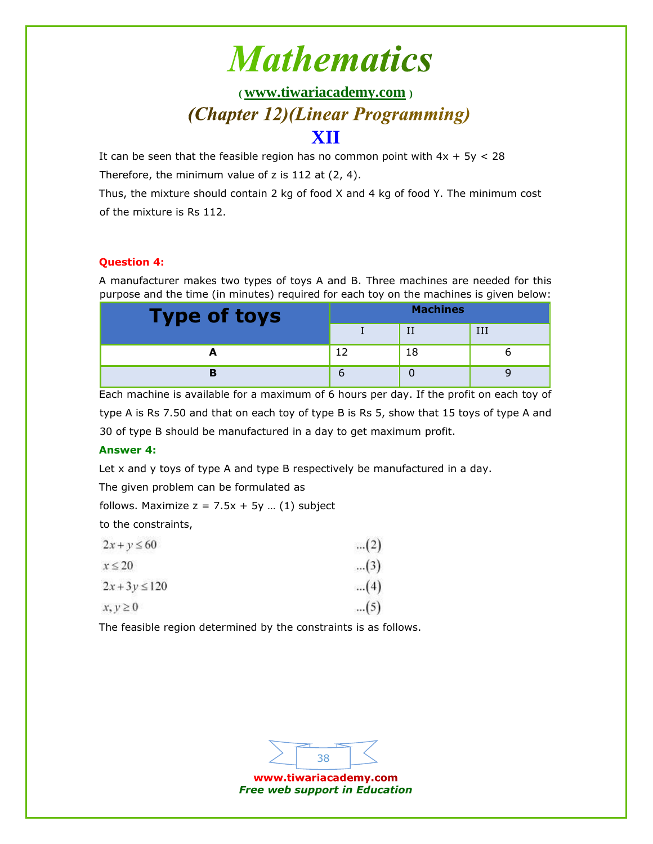## **( [www.tiwariacademy.com](http://www.tiwariacademy.com/) )** (Chapter 12)(Linear Programming)

### **XII**

It can be seen that the feasible region has no common point with  $4x + 5y < 28$ Therefore, the minimum value of z is 112 at (2, 4).

Thus, the mixture should contain 2 kg of food X and 4 kg of food Y. The minimum cost of the mixture is Rs 112.

### **Question 4:**

A manufacturer makes two types of toys A and B. Three machines are needed for this purpose and the time (in minutes) required for each toy on the machines is given below:

| <b>Type of toys</b> | <b>Machines</b> |    |  |
|---------------------|-----------------|----|--|
|                     |                 |    |  |
|                     |                 | 18 |  |
|                     |                 |    |  |

Each machine is available for a maximum of 6 hours per day. If the profit on each toy of type A is Rs 7.50 and that on each toy of type B is Rs 5, show that 15 toys of type A and 30 of type B should be manufactured in a day to get maximum profit.

### **Answer 4:**

Let x and y toys of type A and type B respectively be manufactured in a day.

The given problem can be formulated as

follows. Maximize  $z = 7.5x + 5y$  ... (1) subject

to the constraints,

| $2x + y \le 60$   | (2)   |
|-------------------|-------|
| $x \leq 20$       | $(3)$ |
| $2x + 3y \le 120$ | (4)   |
| $x, y \ge 0$      | (5)   |

The feasible region determined by the constraints is as follows.

38 www.tiwariacademy.com

*Free web support in Education*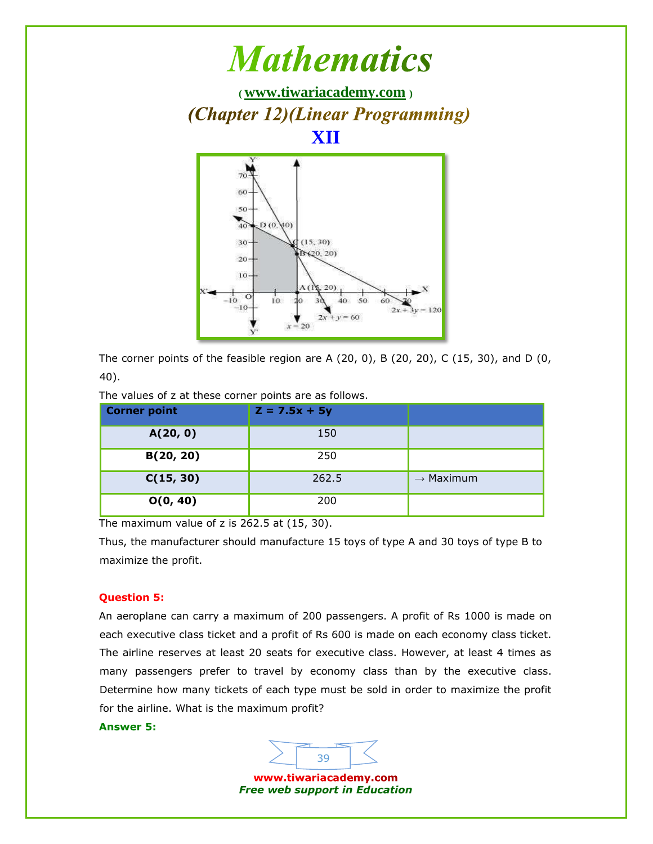

The corner points of the feasible region are A (20, 0), B (20, 20), C (15, 30), and D (0, 40).

| <b>Corner point</b> | $Z = 7.5x + 5y$ |                       |
|---------------------|-----------------|-----------------------|
| A(20, 0)            | 150             |                       |
| B(20, 20)           | 250             |                       |
| C(15, 30)           | 262.5           | $\rightarrow$ Maximum |
| O(0, 40)            | 200             |                       |

The values of z at these corner points are as follows.

The maximum value of z is 262.5 at (15, 30).

Thus, the manufacturer should manufacture 15 toys of type A and 30 toys of type B to maximize the profit.

#### **Question 5:**

An aeroplane can carry a maximum of 200 passengers. A profit of Rs 1000 is made on each executive class ticket and a profit of Rs 600 is made on each economy class ticket. The airline reserves at least 20 seats for executive class. However, at least 4 times as many passengers prefer to travel by economy class than by the executive class. Determine how many tickets of each type must be sold in order to maximize the profit for the airline. What is the maximum profit?

#### **Answer 5:**

www.tiwariacademy.com *Free web support in Education*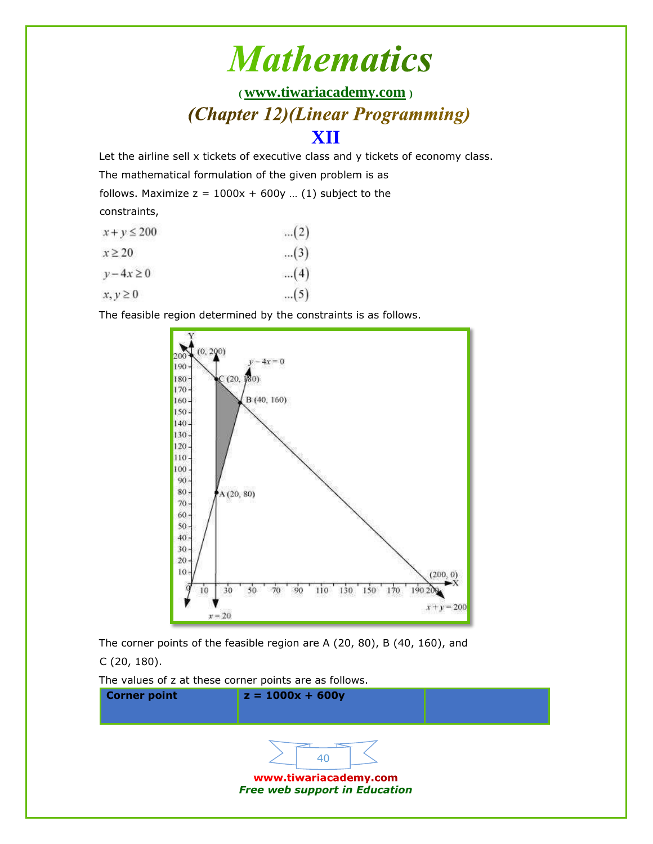## **( [www.tiwariacademy.com](http://www.tiwariacademy.com/) )** (Chapter 12)(Linear Programming)

### **XII**

Let the airline sell x tickets of executive class and y tickets of economy class.

The mathematical formulation of the given problem is as

follows. Maximize  $z = 1000x + 600y$  ... (1) subject to the

constraints,

| $x + y \le 200$ | (2)   |
|-----------------|-------|
| $x \geq 20$     | $(3)$ |
| $y-4x \ge 0$    | (4)   |
| $x, y \geq 0$   | (5)   |

The feasible region determined by the constraints is as follows.



The corner points of the feasible region are A (20, 80), B (40, 160), and C (20, 180).

The values of z at these corner points are as follows.

| <b>Corner point</b> | $z = 1000x + 600y$                   |  |
|---------------------|--------------------------------------|--|
|                     | www.tiwariacademy.com                |  |
|                     | <b>Free web support in Education</b> |  |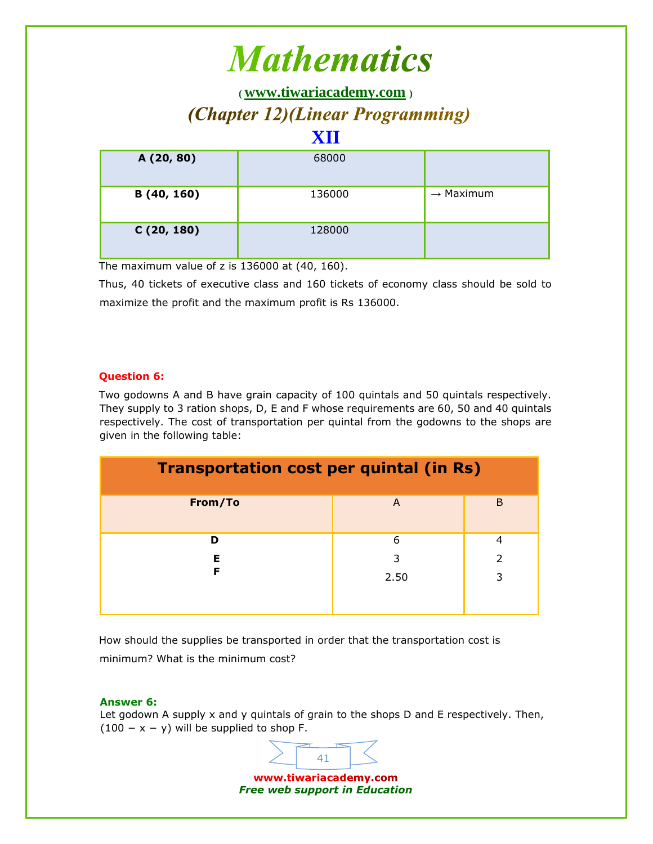**( [www.tiwariacademy.com](http://www.tiwariacademy.com/) )** (Chapter 12)(Linear Programming)

### **XII**

| A (20, 80)  | 68000  |                       |
|-------------|--------|-----------------------|
| B (40, 160) | 136000 | $\rightarrow$ Maximum |
| C(20, 180)  | 128000 |                       |

The maximum value of z is 136000 at (40, 160).

Thus, 40 tickets of executive class and 160 tickets of economy class should be sold to maximize the profit and the maximum profit is Rs 136000.

#### **Question 6:**

Two godowns A and B have grain capacity of 100 quintals and 50 quintals respectively. They supply to 3 ration shops, D, E and F whose requirements are 60, 50 and 40 quintals respectively. The cost of transportation per quintal from the godowns to the shops are given in the following table:

| <b>Transportation cost per quintal (in Rs)</b> |   |   |  |
|------------------------------------------------|---|---|--|
| From/To                                        | A | B |  |
| D                                              | 6 | 4 |  |
| 2<br>Е<br>3                                    |   |   |  |
| F<br>3<br>2.50                                 |   |   |  |
|                                                |   |   |  |

How should the supplies be transported in order that the transportation cost is minimum? What is the minimum cost?

#### **Answer 6:**

Let godown A supply x and y quintals of grain to the shops D and E respectively. Then,  $(100 - x - y)$  will be supplied to shop F.

> www.tiwariacademy.com *Free web support in Education*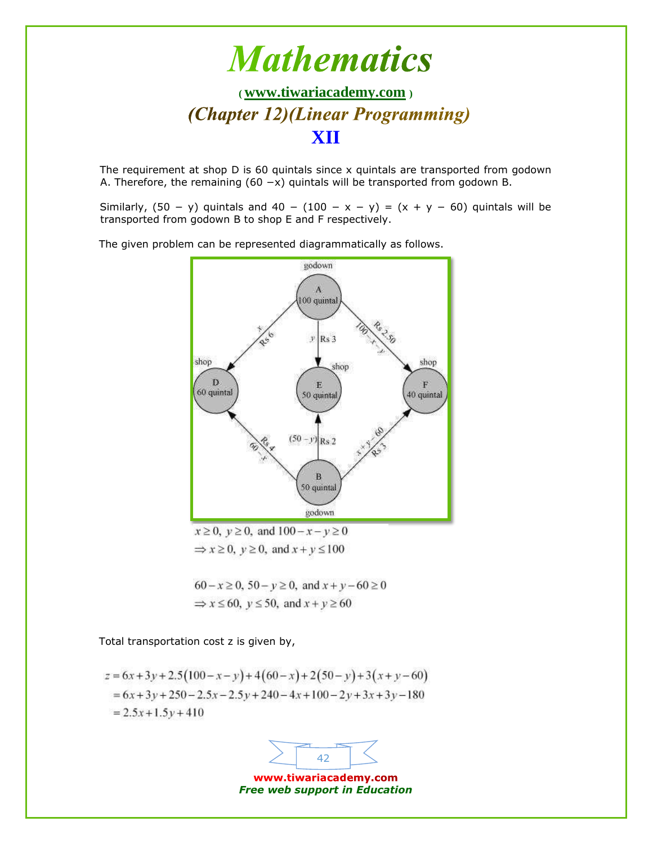

The requirement at shop D is 60 quintals since x quintals are transported from godown A. Therefore, the remaining (60 −x) quintals will be transported from godown B.

Similarly,  $(50 - y)$  quintals and  $40 - (100 - x - y) = (x + y - 60)$  quintals will be transported from godown B to shop E and F respectively.

The given problem can be represented diagrammatically as follows.



 $x \ge 0$ ,  $y \ge 0$ , and  $100 - x - y \ge 0$  $\Rightarrow$   $x \ge 0$ ,  $y \ge 0$ , and  $x + y \le 100$ 

 $60 - x \ge 0$ ,  $50 - y \ge 0$ , and  $x + y - 60 \ge 0$  $\Rightarrow$  x  $\leq$  60, y  $\leq$  50, and x + y  $\geq$  60

Total transportation cost z is given by,

$$
z = 6x + 3y + 2.5(100 - x - y) + 4(60 - x) + 2(50 - y) + 3(x + y - 60)
$$
  
= 6x + 3y + 250 - 2.5x - 2.5y + 240 - 4x + 100 - 2y + 3x + 3y - 180  
= 2.5x + 1.5y + 410

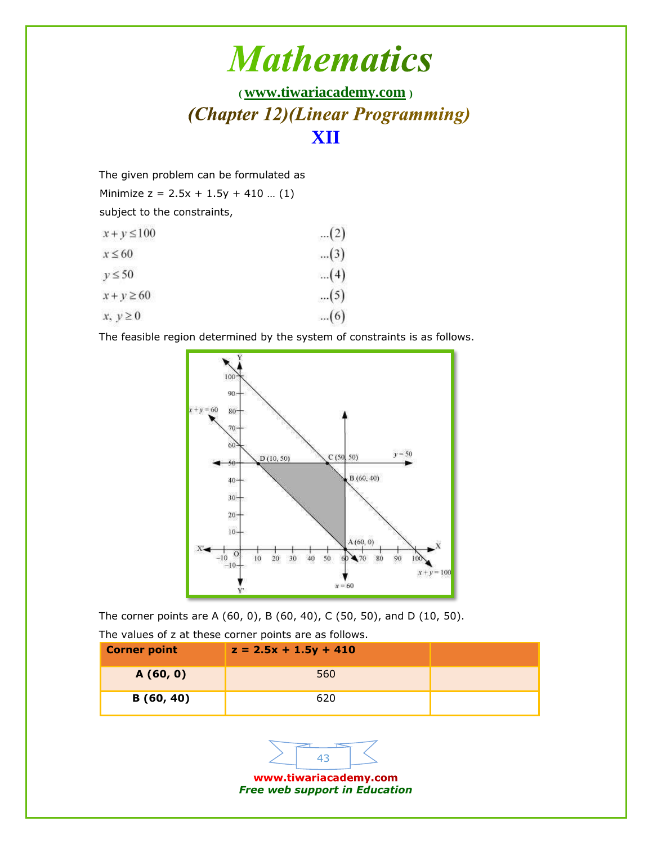## **( [www.tiwariacademy.com](http://www.tiwariacademy.com/) )** (Chapter 12)(Linear Programming) **XII**

The given problem can be formulated as

Minimize  $z = 2.5x + 1.5y + 410$  ... (1)

subject to the constraints,

| $x + y \le 100$ | (2)   |
|-----------------|-------|
| $x \leq 60$     | $(3)$ |
| $y \le 50$      | (4)   |
| $x + y \ge 60$  | $(5)$ |
| $x, y \ge 0$    | (6)   |

The feasible region determined by the system of constraints is as follows.



The corner points are A (60, 0), B (60, 40), C (50, 50), and D (10, 50).

The values of z at these corner points are as follows.

| <b>Corner point</b> | $z = 2.5x + 1.5y + 410$ |  |
|---------------------|-------------------------|--|
| A(60, 0)            | 560                     |  |
| B(60, 40)           | 620                     |  |



*Free web support in Education*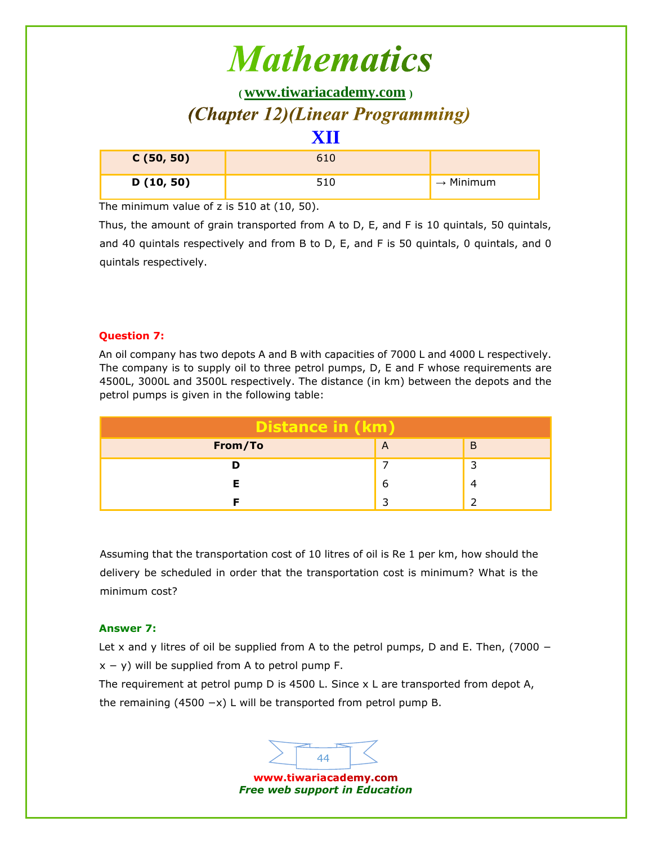## **( [www.tiwariacademy.com](http://www.tiwariacademy.com/) )** (Chapter 12)(Linear Programming)

## **XII C (50, 50)** 610 **D (10, 50)** 510 → Minimum

The minimum value of z is 510 at (10, 50).

Thus, the amount of grain transported from A to D, E, and F is 10 quintals, 50 quintals, and 40 quintals respectively and from B to D, E, and F is 50 quintals, 0 quintals, and 0 quintals respectively.

#### **Question 7:**

An oil company has two depots A and B with capacities of 7000 L and 4000 L respectively. The company is to supply oil to three petrol pumps, D, E and F whose requirements are 4500L, 3000L and 3500L respectively. The distance (in km) between the depots and the petrol pumps is given in the following table:

| <b>Distance in (km)</b> |  |  |  |
|-------------------------|--|--|--|
| From/To<br>B<br>A       |  |  |  |
|                         |  |  |  |
|                         |  |  |  |
|                         |  |  |  |

Assuming that the transportation cost of 10 litres of oil is Re 1 per km, how should the delivery be scheduled in order that the transportation cost is minimum? What is the minimum cost?

#### **Answer 7:**

Let x and y litres of oil be supplied from A to the petrol pumps, D and E. Then, (7000  $$  $x - y$ ) will be supplied from A to petrol pump F.

The requirement at petrol pump D is 4500 L. Since x L are transported from depot A, the remaining (4500  $-x$ ) L will be transported from petrol pump B.

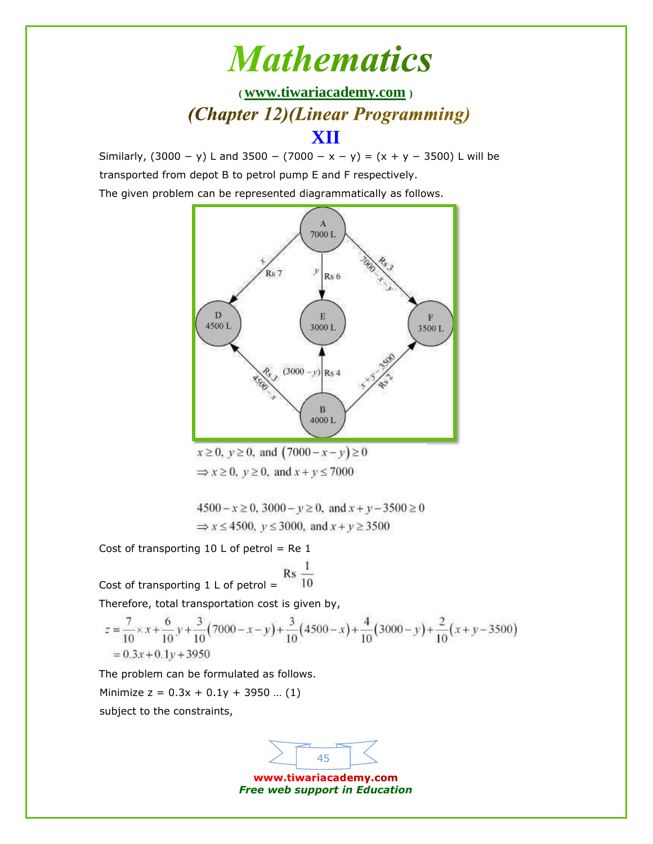**( [www.tiwariacademy.com](http://www.tiwariacademy.com/) )** (Chapter 12)(Linear Programming)

### **XII**

Similarly,  $(3000 - y)$  L and  $3500 - (7000 - x - y) = (x + y - 3500)$  L will be transported from depot B to petrol pump E and F respectively.

The given problem can be represented diagrammatically as follows.



 $x \ge 0$ ,  $y \ge 0$ , and  $(7000 - x - y) \ge 0$  $\Rightarrow$   $x \ge 0$ ,  $y \ge 0$ , and  $x + y \le 7000$ 

 $4500 - x \ge 0$ ,  $3000 - y \ge 0$ , and  $x + y - 3500 \ge 0$  $\Rightarrow$  x  $\leq$  4500, y  $\leq$  3000, and x + y  $\geq$  3500

Cost of transporting  $10 \text{ L}$  of petrol = Re 1

Cost of transporting 1 L of petrol =  $\frac{R3}{10}$ 

Therefore, total transportation cost is given by,

$$
z = \frac{7}{10} \times x + \frac{6}{10} y + \frac{3}{10} (7000 - x - y) + \frac{3}{10} (4500 - x) + \frac{4}{10} (3000 - y) + \frac{2}{10} (x + y - 3500)
$$
  
= 0.3x + 0.1y + 3950

The problem can be formulated as follows.

Minimize  $z = 0.3x + 0.1y + 3950$  ... (1)

subject to the constraints,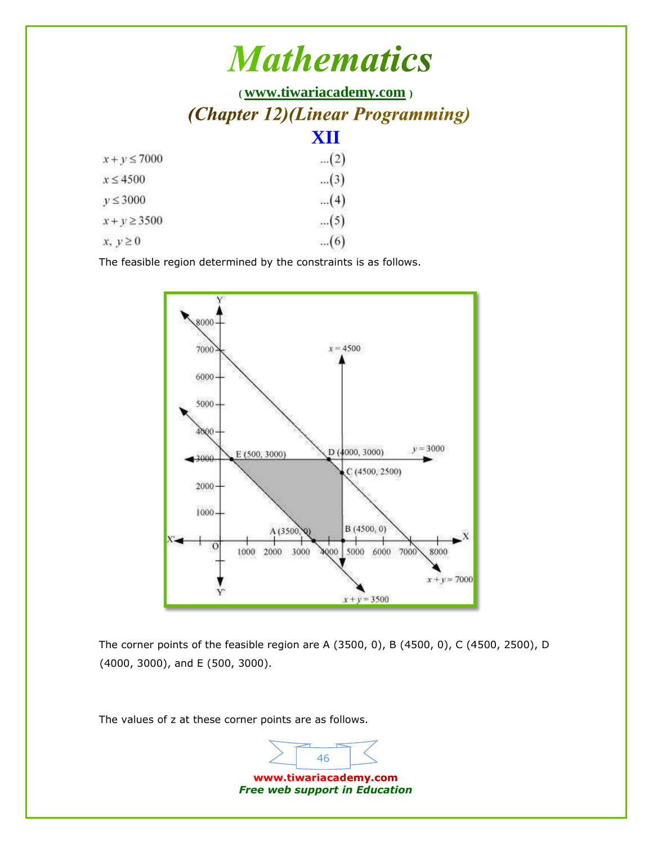**( [www.tiwariacademy.com](http://www.tiwariacademy.com/) )** (Chapter 12)(Linear Programming) **XII**

| $x + y \le 7000$  | (2)   |
|-------------------|-------|
| $x \leq 4500$     | $(3)$ |
| $y \leq 3000$     | (4)   |
| $x + y \geq 3500$ | $(5)$ |
| $x, y \ge 0$      | (6)   |

The feasible region determined by the constraints is as follows.



The corner points of the feasible region are A (3500, 0), B (4500, 0), C (4500, 2500), D (4000, 3000), and E (500, 3000).

The values of z at these corner points are as follows.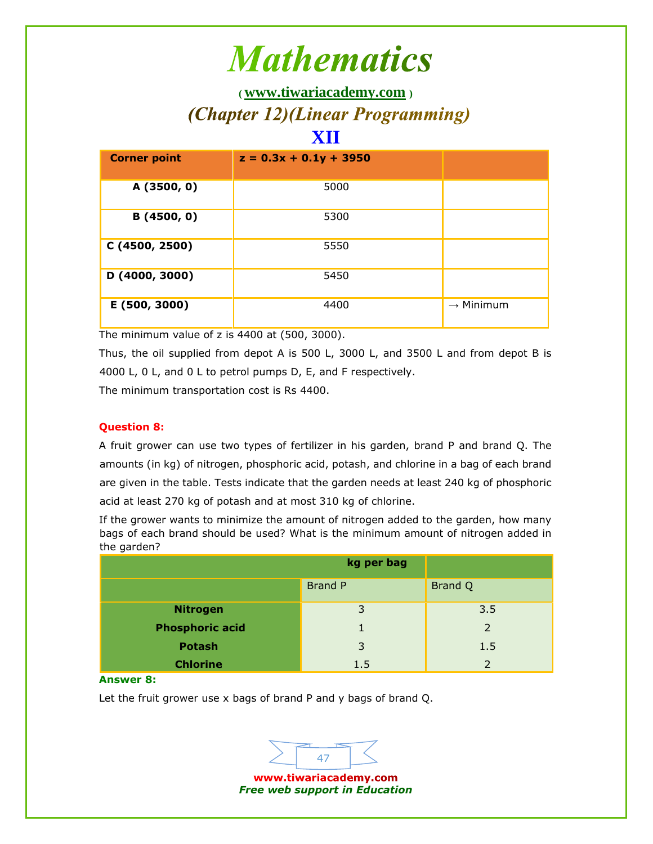**( [www.tiwariacademy.com](http://www.tiwariacademy.com/) )** (Chapter 12)(Linear Programming)

### **XII**

| <b>Corner point</b> | $z = 0.3x + 0.1y + 3950$ |                       |
|---------------------|--------------------------|-----------------------|
| A (3500, 0)         | 5000                     |                       |
| B(4500, 0)          | 5300                     |                       |
| C (4500, 2500)      | 5550                     |                       |
| D (4000, 3000)      | 5450                     |                       |
| E (500, 3000)       | 4400                     | $\rightarrow$ Minimum |

The minimum value of z is 4400 at (500, 3000).

Thus, the oil supplied from depot A is 500 L, 3000 L, and 3500 L and from depot B is 4000 L, 0 L, and 0 L to petrol pumps D, E, and F respectively.

The minimum transportation cost is Rs 4400.

### **Question 8:**

A fruit grower can use two types of fertilizer in his garden, brand P and brand Q. The amounts (in kg) of nitrogen, phosphoric acid, potash, and chlorine in a bag of each brand are given in the table. Tests indicate that the garden needs at least 240 kg of phosphoric acid at least 270 kg of potash and at most 310 kg of chlorine.

If the grower wants to minimize the amount of nitrogen added to the garden, how many bags of each brand should be used? What is the minimum amount of nitrogen added in the garden?

|                        | kg per bag     |               |
|------------------------|----------------|---------------|
|                        | <b>Brand P</b> | Brand Q       |
| <b>Nitrogen</b>        | 3              | 3.5           |
| <b>Phosphoric acid</b> |                | $\mathcal{P}$ |
| <b>Potash</b>          | 3              | 1.5           |
| <b>Chlorine</b>        | 1.5            |               |

**Answer 8:**

Let the fruit grower use x bags of brand P and y bags of brand Q.

47 www.tiwariacademy.com *Free web support in Education*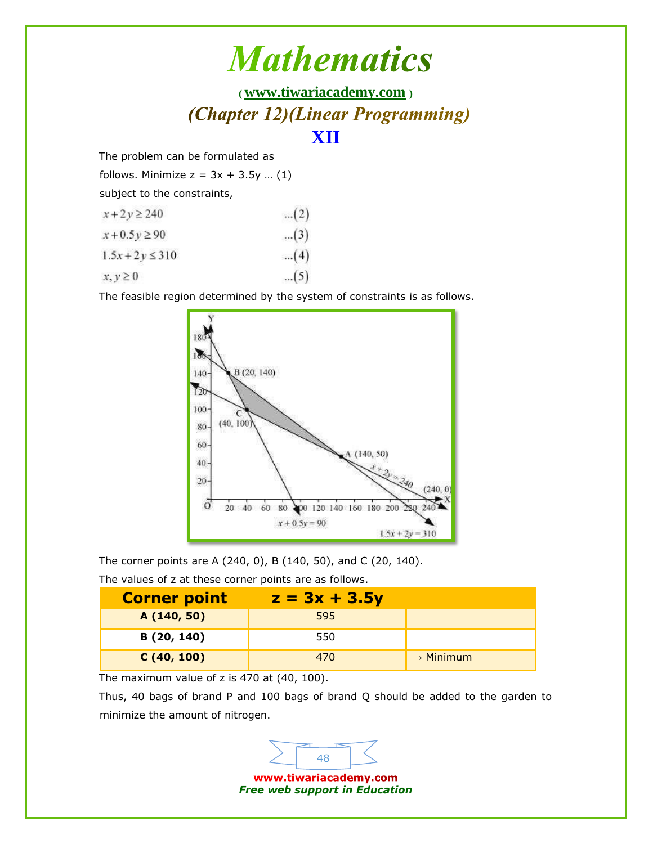## **( [www.tiwariacademy.com](http://www.tiwariacademy.com/) )** (Chapter 12)(Linear Programming) **XII**

The problem can be formulated as

follows. Minimize  $z = 3x + 3.5y$  ... (1)

subject to the constraints,

| $x + 2y \ge 240$    | (2)   |
|---------------------|-------|
| $x + 0.5y \ge 90$   | $(3)$ |
| $1.5x + 2y \le 310$ | (4)   |
| $x, y \ge 0$        | $(5)$ |

The feasible region determined by the system of constraints is as follows.



The corner points are A (240, 0), B (140, 50), and C (20, 140).

The values of z at these corner points are as follows.

| <b>Corner point</b> | $z = 3x + 3.5y$ |                       |
|---------------------|-----------------|-----------------------|
| A (140, 50)         | 595             |                       |
| B (20, 140)         | 550             |                       |
| C(40, 100)          | 470             | $\rightarrow$ Minimum |

The maximum value of z is 470 at (40, 100).

Thus, 40 bags of brand P and 100 bags of brand Q should be added to the garden to minimize the amount of nitrogen.

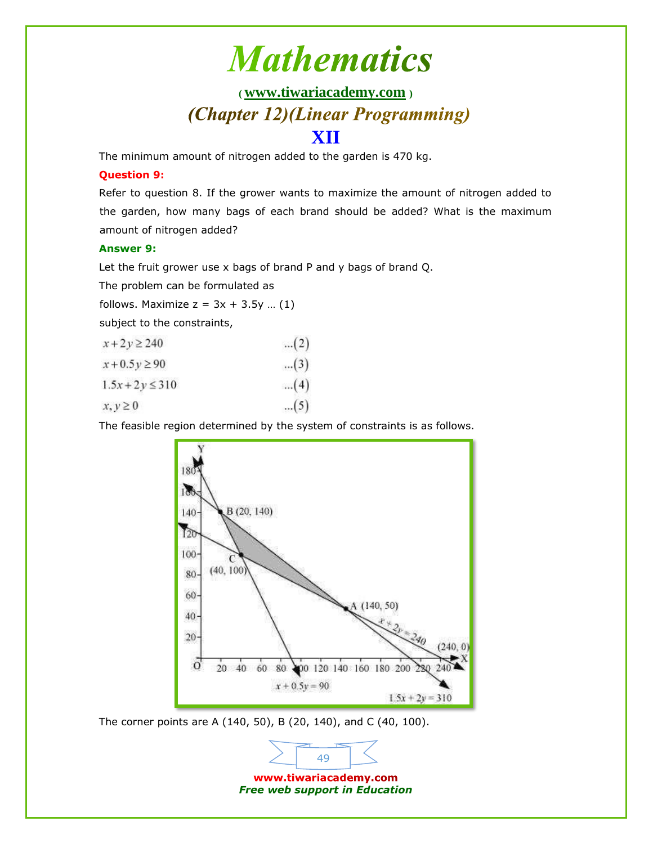## **( [www.tiwariacademy.com](http://www.tiwariacademy.com/) )** (Chapter 12)(Linear Programming)

### **XII**

The minimum amount of nitrogen added to the garden is 470 kg.

#### **Question 9:**

Refer to question 8. If the grower wants to maximize the amount of nitrogen added to the garden, how many bags of each brand should be added? What is the maximum amount of nitrogen added?

#### **Answer 9:**

Let the fruit grower use x bags of brand P and y bags of brand Q.

The problem can be formulated as

follows. Maximize  $z = 3x + 3.5y$  ... (1)

subject to the constraints,

| $x + 2y \ge 240$    | (2)   |
|---------------------|-------|
| $x + 0.5y \ge 90$   | $(3)$ |
| $1.5x + 2y \le 310$ | (4)   |
| $x, y \geq 0$       | $(5)$ |

The feasible region determined by the system of constraints is as follows.



The corner points are A (140, 50), B (20, 140), and C (40, 100).

www.tiwariacademy.com *Free web support in Education*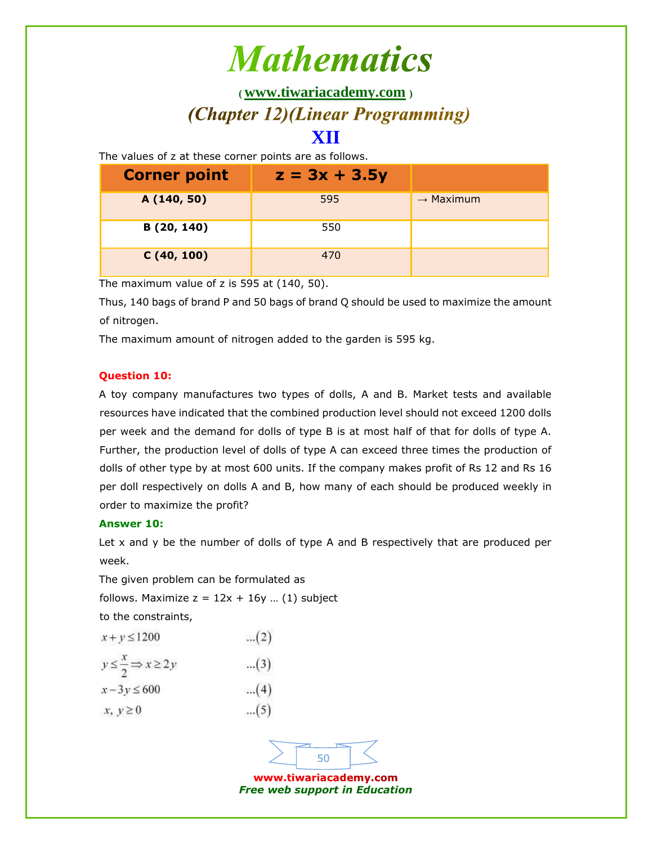**( [www.tiwariacademy.com](http://www.tiwariacademy.com/) )**

## (Chapter 12)(Linear Programming)

### **XII**

The values of z at these corner points are as follows.

| <b>Corner point</b> | $z = 3x + 3.5y$ |                       |
|---------------------|-----------------|-----------------------|
| A (140, 50)         | 595             | $\rightarrow$ Maximum |
| B (20, 140)         | 550             |                       |
| C(40, 100)          | 470             |                       |

The maximum value of z is 595 at (140, 50).

Thus, 140 bags of brand P and 50 bags of brand Q should be used to maximize the amount of nitrogen.

The maximum amount of nitrogen added to the garden is 595 kg.

#### **Question 10:**

A toy company manufactures two types of dolls, A and B. Market tests and available resources have indicated that the combined production level should not exceed 1200 dolls per week and the demand for dolls of type B is at most half of that for dolls of type A. Further, the production level of dolls of type A can exceed three times the production of dolls of other type by at most 600 units. If the company makes profit of Rs 12 and Rs 16 per doll respectively on dolls A and B, how many of each should be produced weekly in order to maximize the profit?

#### **Answer 10:**

Let x and y be the number of dolls of type A and B respectively that are produced per week.

The given problem can be formulated as follows. Maximize  $z = 12x + 16y$  ... (1) subject to the constraints,

 $...(2)$  $x+y \leq 1200$  $y \leq \frac{x}{2} \Rightarrow x \geq 2y$ ... $(3)$  $...(4)$  $x-3y \le 600$ ... $(5)$  $x, y \geq 0$